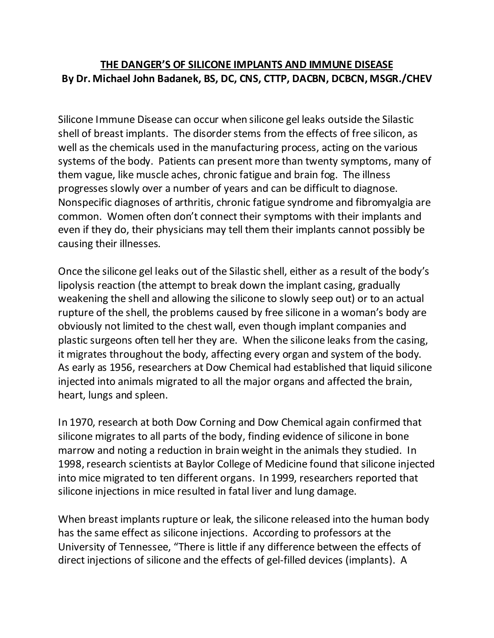# **THE DANGER'S OF SILICONE IMPLANTS AND IMMUNE DISEASE By Dr. Michael John Badanek, BS, DC, CNS, CTTP, DACBN, DCBCN, MSGR./CHEV**

Silicone Immune Disease can occur when silicone gel leaks outside the Silastic shell of breast implants. The disorder stems from the effects of free silicon, as well as the chemicals used in the manufacturing process, acting on the various systems of the body. Patients can present more than twenty symptoms, many of them vague, like muscle aches, chronic fatigue and brain fog. The illness progresses slowly over a number of years and can be difficult to diagnose. Nonspecific diagnoses of arthritis, chronic fatigue syndrome and fibromyalgia are common. Women often don't connect their symptoms with their implants and even if they do, their physicians may tell them their implants cannot possibly be causing their illnesses.

Once the silicone gel leaks out of the Silastic shell, either as a result of the body's lipolysis reaction (the attempt to break down the implant casing, gradually weakening the shell and allowing the silicone to slowly seep out) or to an actual rupture of the shell, the problems caused by free silicone in a woman's body are obviously not limited to the chest wall, even though implant companies and plastic surgeons often tell her they are. When the silicone leaks from the casing, it migrates throughout the body, affecting every organ and system of the body. As early as 1956, researchers at Dow Chemical had established that liquid silicone injected into animals migrated to all the major organs and affected the brain, heart, lungs and spleen.

In 1970, research at both Dow Corning and Dow Chemical again confirmed that silicone migrates to all parts of the body, finding evidence of silicone in bone marrow and noting a reduction in brain weight in the animals they studied. In 1998, research scientists at Baylor College of Medicine found that silicone injected into mice migrated to ten different organs. In 1999, researchers reported that silicone injections in mice resulted in fatal liver and lung damage.

When breast implants rupture or leak, the silicone released into the human body has the same effect as silicone injections. According to professors at the University of Tennessee, "There is little if any difference between the effects of direct injections of silicone and the effects of gel-filled devices (implants). A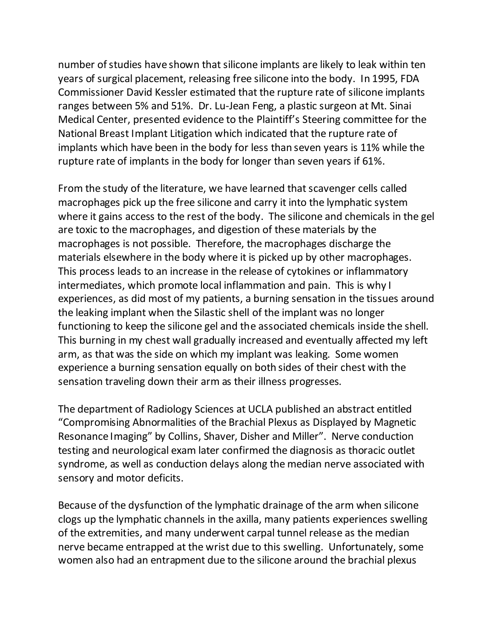number of studies have shown that silicone implants are likely to leak within ten years of surgical placement, releasing free silicone into the body. In 1995, FDA Commissioner David Kessler estimated that the rupture rate of silicone implants ranges between 5% and 51%. Dr. Lu-Jean Feng, a plastic surgeon at Mt. Sinai Medical Center, presented evidence to the Plaintiff's Steering committee for the National Breast Implant Litigation which indicated that the rupture rate of implants which have been in the body for less than seven years is 11% while the rupture rate of implants in the body for longer than seven years if 61%.

From the study of the literature, we have learned that scavenger cells called macrophages pick up the free silicone and carry it into the lymphatic system where it gains access to the rest of the body. The silicone and chemicals in the gel are toxic to the macrophages, and digestion of these materials by the macrophages is not possible. Therefore, the macrophages discharge the materials elsewhere in the body where it is picked up by other macrophages. This process leads to an increase in the release of cytokines or inflammatory intermediates, which promote local inflammation and pain. This is why I experiences, as did most of my patients, a burning sensation in the tissues around the leaking implant when the Silastic shell of the implant was no longer functioning to keep the silicone gel and the associated chemicals inside the shell. This burning in my chest wall gradually increased and eventually affected my left arm, as that was the side on which my implant was leaking. Some women experience a burning sensation equally on both sides of their chest with the sensation traveling down their arm as their illness progresses.

The department of Radiology Sciences at UCLA published an abstract entitled "Compromising Abnormalities of the Brachial Plexus as Displayed by Magnetic Resonance Imaging" by Collins, Shaver, Disher and Miller". Nerve conduction testing and neurological exam later confirmed the diagnosis as thoracic outlet syndrome, as well as conduction delays along the median nerve associated with sensory and motor deficits.

Because of the dysfunction of the lymphatic drainage of the arm when silicone clogs up the lymphatic channels in the axilla, many patients experiences swelling of the extremities, and many underwent carpal tunnel release as the median nerve became entrapped at the wrist due to this swelling. Unfortunately, some women also had an entrapment due to the silicone around the brachial plexus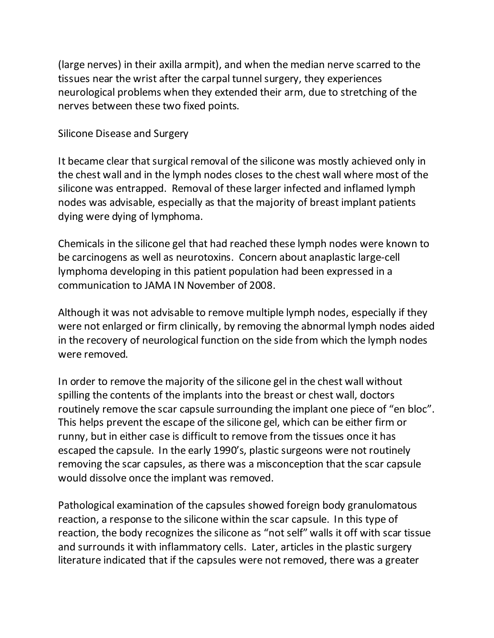(large nerves) in their axilla armpit), and when the median nerve scarred to the tissues near the wrist after the carpal tunnel surgery, they experiences neurological problems when they extended their arm, due to stretching of the nerves between these two fixed points.

## Silicone Disease and Surgery

It became clear that surgical removal of the silicone was mostly achieved only in the chest wall and in the lymph nodes closes to the chest wall where most of the silicone was entrapped. Removal of these larger infected and inflamed lymph nodes was advisable, especially as that the majority of breast implant patients dying were dying of lymphoma.

Chemicals in the silicone gel that had reached these lymph nodes were known to be carcinogens as well as neurotoxins. Concern about anaplastic large-cell lymphoma developing in this patient population had been expressed in a communication to JAMA IN November of 2008.

Although it was not advisable to remove multiple lymph nodes, especially if they were not enlarged or firm clinically, by removing the abnormal lymph nodes aided in the recovery of neurological function on the side from which the lymph nodes were removed.

In order to remove the majority of the silicone gel in the chest wall without spilling the contents of the implants into the breast or chest wall, doctors routinely remove the scar capsule surrounding the implant one piece of "en bloc". This helps prevent the escape of the silicone gel, which can be either firm or runny, but in either case is difficult to remove from the tissues once it has escaped the capsule. In the early 1990's, plastic surgeons were not routinely removing the scar capsules, as there was a misconception that the scar capsule would dissolve once the implant was removed.

Pathological examination of the capsules showed foreign body granulomatous reaction, a response to the silicone within the scar capsule. In this type of reaction, the body recognizes the silicone as "not self" walls it off with scar tissue and surrounds it with inflammatory cells. Later, articles in the plastic surgery literature indicated that if the capsules were not removed, there was a greater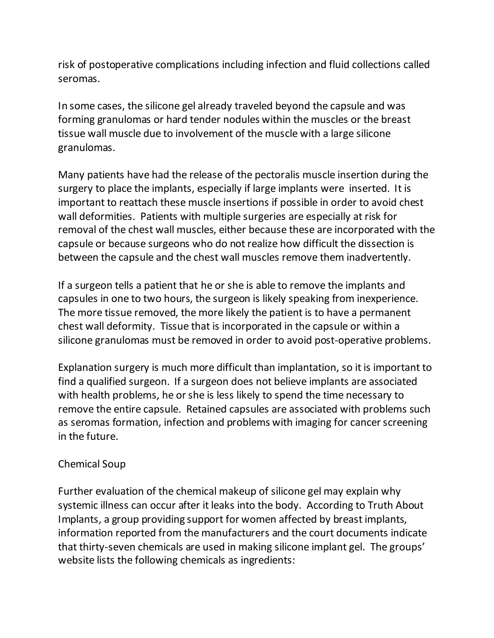risk of postoperative complications including infection and fluid collections called seromas.

In some cases, the silicone gel already traveled beyond the capsule and was forming granulomas or hard tender nodules within the muscles or the breast tissue wall muscle due to involvement of the muscle with a large silicone granulomas.

Many patients have had the release of the pectoralis muscle insertion during the surgery to place the implants, especially if large implants were inserted. It is important to reattach these muscle insertions if possible in order to avoid chest wall deformities. Patients with multiple surgeries are especially at risk for removal of the chest wall muscles, either because these are incorporated with the capsule or because surgeons who do not realize how difficult the dissection is between the capsule and the chest wall muscles remove them inadvertently.

If a surgeon tells a patient that he or she is able to remove the implants and capsules in one to two hours, the surgeon is likely speaking from inexperience. The more tissue removed, the more likely the patient is to have a permanent chest wall deformity. Tissue that is incorporated in the capsule or within a silicone granulomas must be removed in order to avoid post-operative problems.

Explanation surgery is much more difficult than implantation, so it is important to find a qualified surgeon. If a surgeon does not believe implants are associated with health problems, he or she is less likely to spend the time necessary to remove the entire capsule. Retained capsules are associated with problems such as seromas formation, infection and problems with imaging for cancer screening in the future.

## Chemical Soup

Further evaluation of the chemical makeup of silicone gel may explain why systemic illness can occur after it leaks into the body. According to Truth About Implants, a group providing support for women affected by breast implants, information reported from the manufacturers and the court documents indicate that thirty-seven chemicals are used in making silicone implant gel. The groups' website lists the following chemicals as ingredients: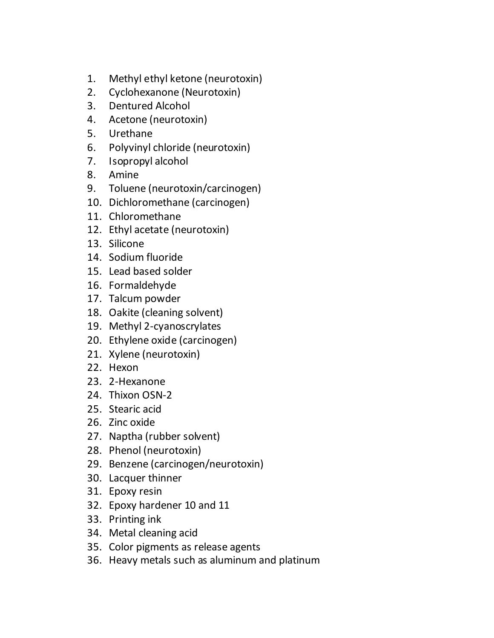- 1. Methyl ethyl ketone (neurotoxin)
- 2. Cyclohexanone (Neurotoxin)
- 3. Dentured Alcohol
- 4. Acetone (neurotoxin)
- 5. Urethane
- 6. Polyvinyl chloride (neurotoxin)
- 7. Isopropyl alcohol
- 8. Amine
- 9. Toluene (neurotoxin/carcinogen)
- 10. Dichloromethane (carcinogen)
- 11. Chloromethane
- 12. Ethyl acetate (neurotoxin)
- 13. Silicone
- 14. Sodium fluoride
- 15. Lead based solder
- 16. Formaldehyde
- 17. Talcum powder
- 18. Oakite (cleaning solvent)
- 19. Methyl 2-cyanoscrylates
- 20. Ethylene oxide (carcinogen)
- 21. Xylene (neurotoxin)
- 22. Hexon
- 23. 2-Hexanone
- 24. Thixon OSN-2
- 25. Stearic acid
- 26. Zinc oxide
- 27. Naptha (rubber solvent)
- 28. Phenol (neurotoxin)
- 29. Benzene (carcinogen/neurotoxin)
- 30. Lacquer thinner
- 31. Epoxy resin
- 32. Epoxy hardener 10 and 11
- 33. Printing ink
- 34. Metal cleaning acid
- 35. Color pigments as release agents
- 36. Heavy metals such as aluminum and platinum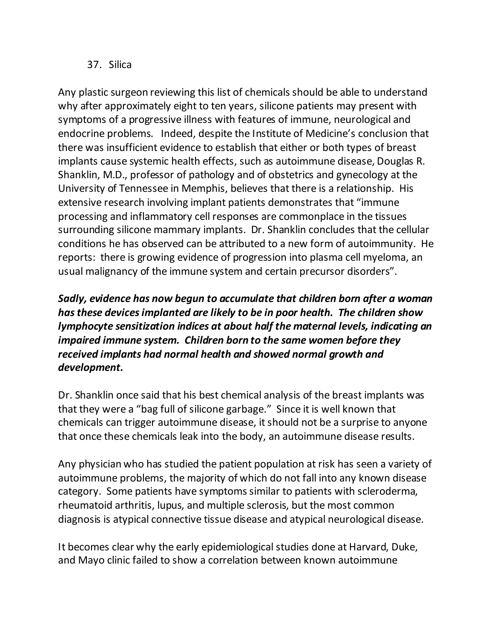#### 37. Silica

Any plastic surgeon reviewing this list of chemicals should be able to understand why after approximately eight to ten years, silicone patients may present with symptoms of a progressive illness with features of immune, neurological and endocrine problems. Indeed, despite the Institute of Medicine's conclusion that there was insufficient evidence to establish that either or both types of breast implants cause systemic health effects, such as autoimmune disease, Douglas R. Shanklin, M.D., professor of pathology and of obstetrics and gynecology at the University of Tennessee in Memphis, believes that there is a relationship. His extensive research involving implant patients demonstrates that "immune processing and inflammatory cell responses are commonplace in the tissues surrounding silicone mammary implants. Dr. Shanklin concludes that the cellular conditions he has observed can be attributed to a new form of autoimmunity. He reports: there is growing evidence of progression into plasma cell myeloma, an usual malignancy of the immune system and certain precursor disorders".

*Sadly, evidence has now begun to accumulate that children born after a woman has these devices implanted are likely to be in poor health. The children show lymphocyte sensitization indices at about half the maternal levels, indicating an impaired immune system. Children born to the same women before they received implants had normal health and showed normal growth and development.*

Dr. Shanklin once said that his best chemical analysis of the breast implants was that they were a "bag full of silicone garbage." Since it is well known that chemicals can trigger autoimmune disease, it should not be a surprise to anyone that once these chemicals leak into the body, an autoimmune disease results.

Any physician who has studied the patient population at risk has seen a variety of autoimmune problems, the majority of which do not fall into any known disease category. Some patients have symptoms similar to patients with scleroderma, rheumatoid arthritis, lupus, and multiple sclerosis, but the most common diagnosis is atypical connective tissue disease and atypical neurological disease.

It becomes clear why the early epidemiological studies done at Harvard, Duke, and Mayo clinic failed to show a correlation between known autoimmune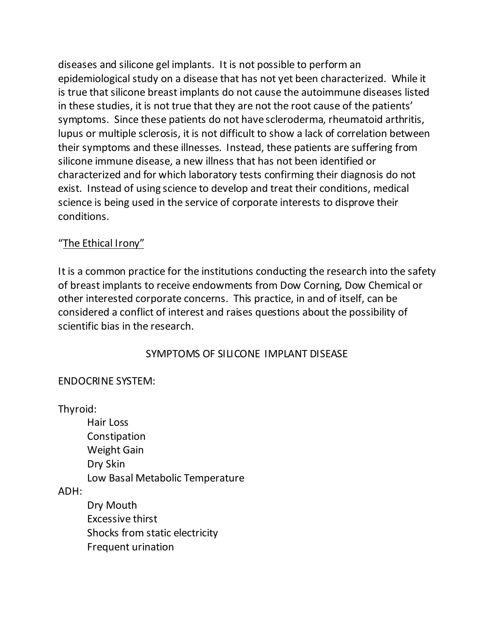diseases and silicone gel implants. It is not possible to perform an epidemiological study on a disease that has not yet been characterized. While it is true that silicone breast implants do not cause the autoimmune diseases listed in these studies, it is not true that they are not the root cause of the patients' symptoms. Since these patients do not have scleroderma, rheumatoid arthritis, lupus or multiple sclerosis, it is not difficult to show a lack of correlation between their symptoms and these illnesses. Instead, these patients are suffering from silicone immune disease, a new illness that has not been identified or characterized and for which laboratory tests confirming their diagnosis do not exist. Instead of using science to develop and treat their conditions, medical science is being used in the service of corporate interests to disprove their conditions.

## "The Ethical Irony"

It is a common practice for the institutions conducting the research into the safety of breast implants to receive endowments from Dow Corning, Dow Chemical or other interested corporate concerns. This practice, in and of itself, can be considered a conflict of interest and raises questions about the possibility of scientific bias in the research.

## SYMPTOMS OF SILICONE IMPLANT DISEASE

#### ENDOCRINE SYSTEM:

Thyroid:

ADH:

Hair Loss Constipation Weight Gain Dry Skin Low Basal Metabolic Temperature

Dry Mouth Excessive thirst Shocks from static electricity Frequent urination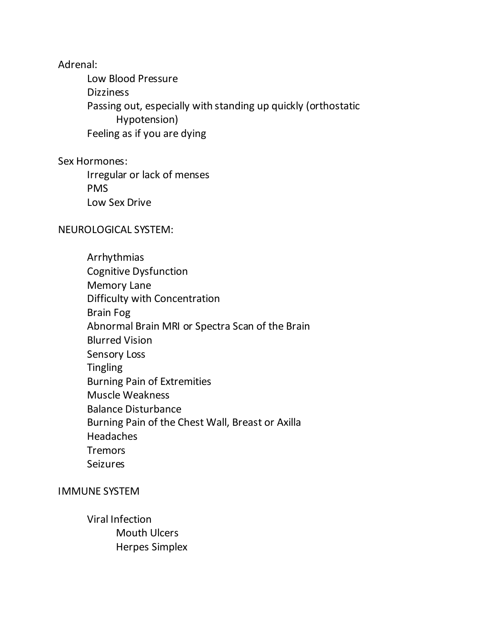Adrenal:

Low Blood Pressure Dizziness Passing out, especially with standing up quickly (orthostatic Hypotension) Feeling as if you are dying

Sex Hormones:

Irregular or lack of menses PMS Low Sex Drive

#### NEUROLOGICAL SYSTEM:

Arrhythmias Cognitive Dysfunction Memory Lane Difficulty with Concentration Brain Fog Abnormal Brain MRI or Spectra Scan of the Brain Blurred Vision Sensory Loss Tingling Burning Pain of Extremities Muscle Weakness Balance Disturbance Burning Pain of the Chest Wall, Breast or Axilla Headaches **Tremors** Seizures

#### IMMUNE SYSTEM

Viral Infection Mouth Ulcers Herpes Simplex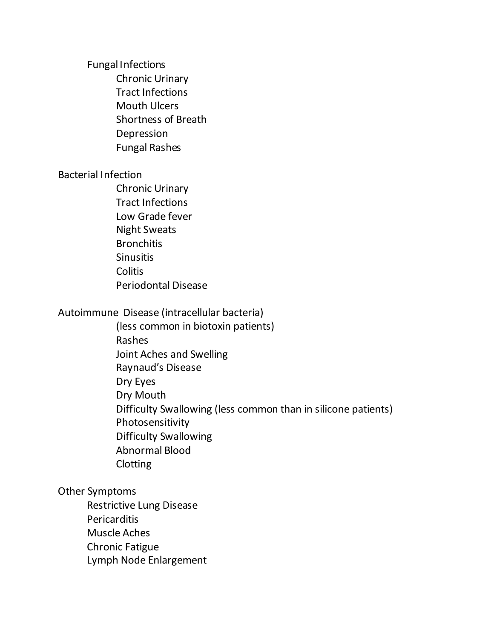Fungal Infections Chronic Urinary Tract Infections Mouth Ulcers Shortness of Breath Depression Fungal Rashes

## Bacterial Infection

Chronic Urinary Tract Infections Low Grade fever Night Sweats Bronchitis **Sinusitis Colitis** Periodontal Disease

Autoimmune Disease (intracellular bacteria)

(less common in biotoxin patients)

Rashes

Joint Aches and Swelling

Raynaud's Disease

Dry Eyes

Dry Mouth

Difficulty Swallowing (less common than in silicone patients)

Photosensitivity

Difficulty Swallowing

Abnormal Blood

Clotting

Other Symptoms

Restrictive Lung Disease

Pericarditis

Muscle Aches

Chronic Fatigue

Lymph Node Enlargement